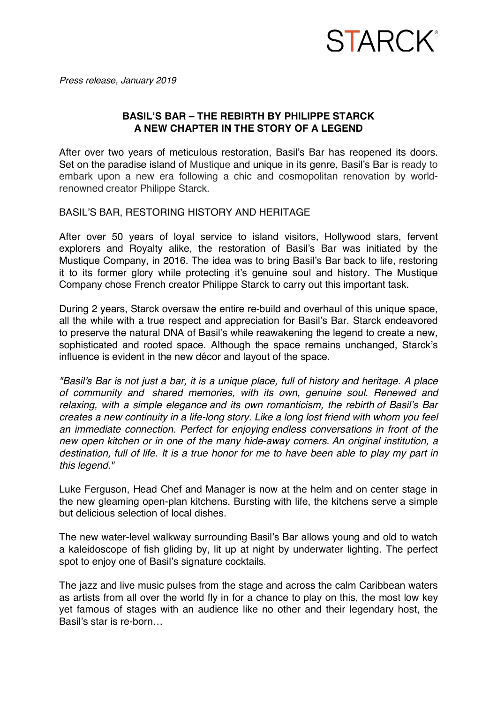## **STARCK**<sup>®</sup>

*Press release, January 2019*

### **BASIL'S BAR – THE REBIRTH BY PHILIPPE STARCK A NEW CHAPTER IN THE STORY OF A LEGEND**

After over two years of meticulous restoration, Basil's Bar has reopened its doors. Set on the paradise island of Mustique and unique in its genre, Basil's Bar is ready to embark upon a new era following a chic and cosmopolitan renovation by worldrenowned creator Philippe Starck.

BASIL'S BAR, RESTORING HISTORY AND HERITAGE

After over 50 years of loyal service to island visitors, Hollywood stars, fervent explorers and Royalty alike, the restoration of Basil's Bar was initiated by the Mustique Company, in 2016. The idea was to bring Basil's Bar back to life, restoring it to its former glory while protecting it's genuine soul and history. The Mustique Company chose French creator Philippe Starck to carry out this important task.

During 2 years, Starck oversaw the entire re-build and overhaul of this unique space, all the while with a true respect and appreciation for Basil's Bar. Starck endeavored to preserve the natural DNA of Basil's while reawakening the legend to create a new, sophisticated and rooted space. Although the space remains unchanged, Starck's influence is evident in the new décor and layout of the space.

*"Basil's Bar is not just a bar, it is a unique place, full of history and heritage. A place of community and shared memories, with its own, genuine soul. Renewed and relaxing, with a simple elegance and its own romanticism, the rebirth of Basil's Bar creates a new continuity in a life-long story. Like a long lost friend with whom you feel an immediate connection. Perfect for enjoying endless conversations in front of the new open kitchen or in one of the many hide-away corners. An original institution, a destination, full of life. It is a true honor for me to have been able to play my part in this legend."*

Luke Ferguson, Head Chef and Manager is now at the helm and on center stage in the new gleaming open-plan kitchens. Bursting with life, the kitchens serve a simple but delicious selection of local dishes.

The new water-level walkway surrounding Basil's Bar allows young and old to watch a kaleidoscope of fish gliding by, lit up at night by underwater lighting. The perfect spot to enjoy one of Basil's signature cocktails.

The jazz and live music pulses from the stage and across the calm Caribbean waters as artists from all over the world fly in for a chance to play on this, the most low key yet famous of stages with an audience like no other and their legendary host, the Basil's star is re-born…